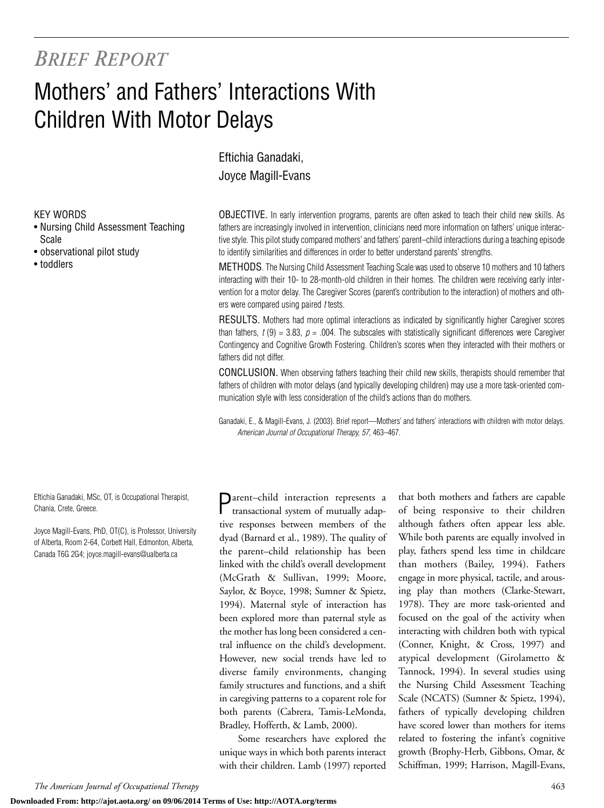## *BRIEF REPORT*

## Mothers' and Fathers' Interactions With Children With Motor Delays

Eftichia Ganadaki, Joyce Magill-Evans

KEY WORDS

- Nursing Child Assessment Teaching Scale
- observational pilot study
- toddlers

Eftichia Ganadaki, MSc, OT, is Occupational Therapist, Chania, Crete, Greece.

Joyce Magill-Evans, PhD, OT(C), is Professor, University of Alberta, Room 2-64, Corbett Hall, Edmonton, Alberta, Canada T6G 2G4; joyce.magill-evans@ualberta.ca

OBJECTIVE. In early intervention programs, parents are often asked to teach their child new skills. As fathers are increasingly involved in intervention, clinicians need more information on fathers' unique interactive style. This pilot study compared mothers' and fathers' parent–child interactions during a teaching episode to identify similarities and differences in order to better understand parents' strengths.

METHODS. The Nursing Child Assessment Teaching Scale was used to observe 10 mothers and 10 fathers interacting with their 10- to 28-month-old children in their homes. The children were receiving early intervention for a motor delay. The Caregiver Scores (parent's contribution to the interaction) of mothers and others were compared using paired *t* tests.

RESULTS. Mothers had more optimal interactions as indicated by significantly higher Caregiver scores than fathers,  $t(9) = 3.83$ ,  $p = .004$ . The subscales with statistically significant differences were Caregiver Contingency and Cognitive Growth Fostering. Children's scores when they interacted with their mothers or fathers did not differ.

CONCLUSION. When observing fathers teaching their child new skills, therapists should remember that fathers of children with motor delays (and typically developing children) may use a more task-oriented communication style with less consideration of the child's actions than do mothers.

Ganadaki, E., & Magill-Evans, J. (2003). Brief report—Mothers' and fathers' interactions with children with motor delays. *American Journal of Occupational Therapy, 57,* 463–467.

Parent–child interaction represents a transactional system of mutually adaptive responses between members of the dyad (Barnard et al., 1989). The quality of the parent–child relationship has been linked with the child's overall development (McGrath & Sullivan, 1999; Moore, Saylor, & Boyce, 1998; Sumner & Spietz, 1994). Maternal style of interaction has been explored more than paternal style as the mother has long been considered a central influence on the child's development. However, new social trends have led to diverse family environments, changing family structures and functions, and a shift in caregiving patterns to a coparent role for both parents (Cabrera, Tamis-LeMonda, Bradley, Hofferth, & Lamb, 2000).

Some researchers have explored the unique ways in which both parents interact with their children. Lamb (1997) reported

that both mothers and fathers are capable of being responsive to their children although fathers often appear less able. While both parents are equally involved in play, fathers spend less time in childcare than mothers (Bailey, 1994). Fathers engage in more physical, tactile, and arousing play than mothers (Clarke-Stewart, 1978). They are more task-oriented and focused on the goal of the activity when interacting with children both with typical (Conner, Knight, & Cross, 1997) and atypical development (Girolametto & Tannock, 1994). In several studies using the Nursing Child Assessment Teaching Scale (NCATS) (Sumner & Spietz, 1994), fathers of typically developing children have scored lower than mothers for items related to fostering the infant's cognitive growth (Brophy-Herb, Gibbons, Omar, & Schiffman, 1999; Harrison, Magill-Evans,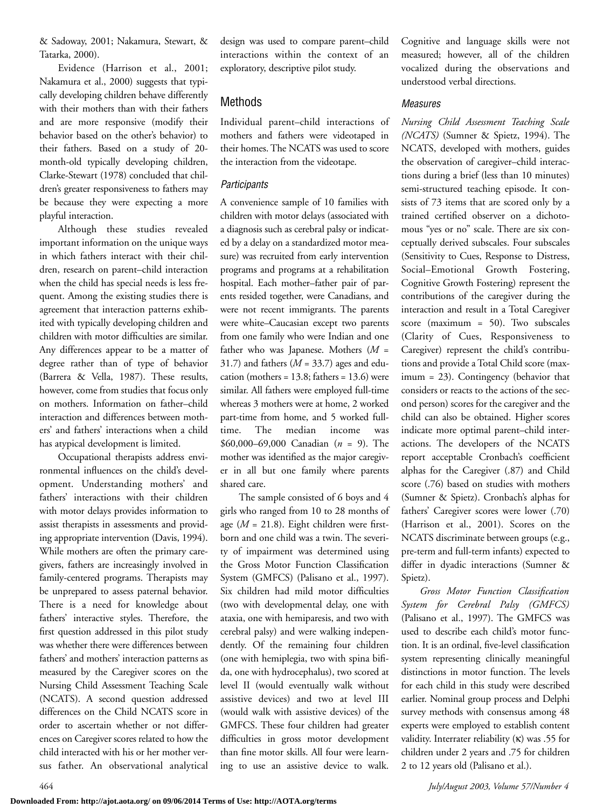& Sadoway, 2001; Nakamura, Stewart, & Tatarka, 2000).

Evidence (Harrison et al., 2001; Nakamura et al., 2000) suggests that typically developing children behave differently with their mothers than with their fathers and are more responsive (modify their behavior based on the other's behavior) to their fathers. Based on a study of 20 month-old typically developing children, Clarke-Stewart (1978) concluded that children's greater responsiveness to fathers may be because they were expecting a more playful interaction.

Although these studies revealed important information on the unique ways in which fathers interact with their children, research on parent–child interaction when the child has special needs is less frequent. Among the existing studies there is agreement that interaction patterns exhibited with typically developing children and children with motor difficulties are similar. Any differences appear to be a matter of degree rather than of type of behavior (Barrera & Vella, 1987). These results, however, come from studies that focus only on mothers. Information on father–child interaction and differences between mothers' and fathers' interactions when a child has atypical development is limited.

Occupational therapists address environmental influences on the child's development. Understanding mothers' and fathers' interactions with their children with motor delays provides information to assist therapists in assessments and providing appropriate intervention (Davis, 1994). While mothers are often the primary caregivers, fathers are increasingly involved in family-centered programs. Therapists may be unprepared to assess paternal behavior. There is a need for knowledge about fathers' interactive styles. Therefore, the first question addressed in this pilot study was whether there were differences between fathers' and mothers' interaction patterns as measured by the Caregiver scores on the Nursing Child Assessment Teaching Scale (NCATS). A second question addressed differences on the Child NCATS score in order to ascertain whether or not differences on Caregiver scores related to how the child interacted with his or her mother versus father. An observational analytical

design was used to compare parent–child interactions within the context of an exploratory, descriptive pilot study.

#### Methods

Individual parent–child interactions of mothers and fathers were videotaped in their homes. The NCATS was used to score the interaction from the videotape.

#### *Participants*

A convenience sample of 10 families with children with motor delays (associated with a diagnosis such as cerebral palsy or indicated by a delay on a standardized motor measure) was recruited from early intervention programs and programs at a rehabilitation hospital. Each mother–father pair of parents resided together, were Canadians, and were not recent immigrants. The parents were white–Caucasian except two parents from one family who were Indian and one father who was Japanese. Mothers (*M* = 31.7) and fathers ( $M = 33.7$ ) ages and education (mothers =  $13.8$ ; fathers =  $13.6$ ) were similar. All fathers were employed full-time whereas 3 mothers were at home, 2 worked part-time from home, and 5 worked fulltime. The median income was \$60,000–69,000 Canadian (*n* = 9). The mother was identified as the major caregiver in all but one family where parents shared care.

The sample consisted of 6 boys and 4 girls who ranged from 10 to 28 months of age (*M* = 21.8). Eight children were firstborn and one child was a twin. The severity of impairment was determined using the Gross Motor Function Classification System (GMFCS) (Palisano et al., 1997). Six children had mild motor difficulties (two with developmental delay, one with ataxia, one with hemiparesis, and two with cerebral palsy) and were walking independently. Of the remaining four children (one with hemiplegia, two with spina bifida, one with hydrocephalus), two scored at level II (would eventually walk without assistive devices) and two at level III (would walk with assistive devices) of the GMFCS. These four children had greater difficulties in gross motor development than fine motor skills. All four were learning to use an assistive device to walk.

Cognitive and language skills were not measured; however, all of the children vocalized during the observations and understood verbal directions.

#### *Measures*

*Nursing Child Assessment Teaching Scale (NCATS)* (Sumner & Spietz, 1994). The NCATS, developed with mothers, guides the observation of caregiver–child interactions during a brief (less than 10 minutes) semi-structured teaching episode. It consists of 73 items that are scored only by a trained certified observer on a dichotomous "yes or no" scale. There are six conceptually derived subscales. Four subscales (Sensitivity to Cues, Response to Distress, Social–Emotional Growth Fostering, Cognitive Growth Fostering) represent the contributions of the caregiver during the interaction and result in a Total Caregiver score (maximum = 50). Two subscales (Clarity of Cues, Responsiveness to Caregiver) represent the child's contributions and provide a Total Child score (maximum = 23). Contingency (behavior that considers or reacts to the actions of the second person) scores for the caregiver and the child can also be obtained. Higher scores indicate more optimal parent–child interactions. The developers of the NCATS report acceptable Cronbach's coefficient alphas for the Caregiver (.87) and Child score (.76) based on studies with mothers (Sumner & Spietz). Cronbach's alphas for fathers' Caregiver scores were lower (.70) (Harrison et al., 2001). Scores on the NCATS discriminate between groups (e.g., pre-term and full-term infants) expected to differ in dyadic interactions (Sumner & Spietz).

*Gross Motor Function Classification System for Cerebral Palsy (GMFCS)* (Palisano et al., 1997). The GMFCS was used to describe each child's motor function. It is an ordinal, five-level classification system representing clinically meaningful distinctions in motor function. The levels for each child in this study were described earlier. Nominal group process and Delphi survey methods with consensus among 48 experts were employed to establish content validity. Interrater reliability  $(K)$  was .55 for children under 2 years and .75 for children 2 to 12 years old (Palisano et al.).

464 *July/August 2003, Volume 57/Number 4*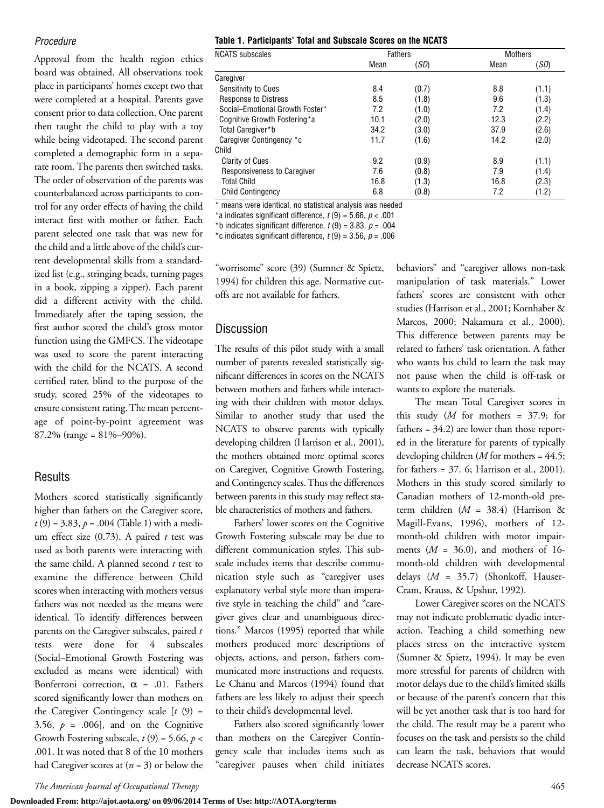#### *Procedure*

Approval from the health region ethics board was obtained. All observations took place in participants' homes except two that were completed at a hospital. Parents gave consent prior to data collection. One parent then taught the child to play with a toy while being videotaped. The second parent completed a demographic form in a separate room. The parents then switched tasks. The order of observation of the parents was counterbalanced across participants to control for any order effects of having the child interact first with mother or father. Each parent selected one task that was new for the child and a little above of the child's current developmental skills from a standardized list (e.g., stringing beads, turning pages in a book, zipping a zipper). Each parent did a different activity with the child. Immediately after the taping session, the first author scored the child's gross motor function using the GMFCS. The videotape was used to score the parent interacting with the child for the NCATS. A second certified rater, blind to the purpose of the study, scored 25% of the videotapes to ensure consistent rating. The mean percentage of point-by-point agreement was 87.2% (range = 81%–90%).

#### **Results**

Mothers scored statistically significantly higher than fathers on the Caregiver score,  $t(9) = 3.83, p = .004$  (Table 1) with a medium effect size (0.73). A paired *t* test was used as both parents were interacting with the same child. A planned second *t* test to examine the difference between Child scores when interacting with mothers versus fathers was not needed as the means were identical. To identify differences between parents on the Caregiver subscales, paired *t* tests were done for 4 subscales (Social–Emotional Growth Fostering was excluded as means were identical) with Bonferroni correction,  $\alpha$  = .01. Fathers scored significantly lower than mothers on the Caregiver Contingency scale [*t* (9) = 3.56,  $p = .006$ , and on the Cognitive Growth Fostering subscale,  $t(9) = 5.66$ ,  $p <$ .001. It was noted that 8 of the 10 mothers had Caregiver scores at (*n* = 3) or below the

#### **Table 1. Participants' Total and Subscale Scores on the NCATS**

| <b>NCATS</b> subscales          | <b>Fathers</b> |       | <b>Mothers</b> |       |
|---------------------------------|----------------|-------|----------------|-------|
|                                 | Mean           | (SD)  | Mean           | (SD)  |
| Caregiver                       |                |       |                |       |
| Sensitivity to Cues             | 8.4            | (0.7) | 8.8            | (1.1) |
| <b>Response to Distress</b>     | 8.5            | (1.8) | 9.6            | (1.3) |
| Social-Emotional Growth Foster* | 7.2            | (1.0) | 7.2            | (1.4) |
| Cognitive Growth Fostering*a    | 10.1           | (2.0) | 12.3           | (2.2) |
| Total Caregiver*b               | 34.2           | (3.0) | 37.9           | (2.6) |
| Caregiver Contingency *c        | 11.7           | (1.6) | 14.2           | (2.0) |
| Child                           |                |       |                |       |
| <b>Clarity of Cues</b>          | 9.2            | (0.9) | 8.9            | (1.1) |
| Responsiveness to Caregiver     | 7.6            | (0.8) | 7.9            | (1.4) |
| <b>Total Child</b>              | 16.8           | (1.3) | 16.8           | (2.3) |
| <b>Child Contingency</b>        | 6.8            | (0.8) | 7.2            | (1.2) |
|                                 |                |       |                |       |

\* means were identical, no statistical analysis was needed

 $*$ a indicates significant difference,  $t(9) = 5.66$ ,  $p < .001$ 

\*b indicates significant difference,  $t(9) = 3.83$ ,  $p = .004$ 

\*c indicates significant difference,  $t(9) = 3.56$ ,  $p = .006$ 

"worrisome" score (39) (Sumner & Spietz, 1994) for children this age. Normative cutoffs are not available for fathers.

#### **Discussion**

The results of this pilot study with a small number of parents revealed statistically significant differences in scores on the NCATS between mothers and fathers while interacting with their children with motor delays. Similar to another study that used the NCATS to observe parents with typically developing children (Harrison et al., 2001), the mothers obtained more optimal scores on Caregiver, Cognitive Growth Fostering, and Contingency scales. Thus the differences between parents in this study may reflect stable characteristics of mothers and fathers.

Fathers' lower scores on the Cognitive Growth Fostering subscale may be due to different communication styles. This subscale includes items that describe communication style such as "caregiver uses explanatory verbal style more than imperative style in teaching the child" and "caregiver gives clear and unambiguous directions." Marcos (1995) reported that while mothers produced more descriptions of objects, actions, and person, fathers communicated more instructions and requests. Le Chanu and Marcos (1994) found that fathers are less likely to adjust their speech to their child's developmental level.

Fathers also scored significantly lower than mothers on the Caregiver Contingency scale that includes items such as "caregiver pauses when child initiates behaviors" and "caregiver allows non-task manipulation of task materials." Lower fathers' scores are consistent with other studies (Harrison et al., 2001; Kornhaber & Marcos, 2000; Nakamura et al., 2000). This difference between parents may be related to fathers' task orientation. A father who wants his child to learn the task may not pause when the child is off-task or wants to explore the materials.

The mean Total Caregiver scores in this study (*M* for mothers = 37.9; for fathers = 34.2) are lower than those reported in the literature for parents of typically developing children (*M* for mothers = 44.5; for fathers = 37. 6; Harrison et al., 2001). Mothers in this study scored similarly to Canadian mothers of 12-month-old preterm children (*M* = 38.4) (Harrison & Magill-Evans, 1996), mothers of 12 month-old children with motor impairments (*M* = 36.0), and mothers of 16 month-old children with developmental delays (*M* = 35.7) (Shonkoff, Hauser-Cram, Krauss, & Upshur, 1992).

Lower Caregiver scores on the NCATS may not indicate problematic dyadic interaction. Teaching a child something new places stress on the interactive system (Sumner & Spietz, 1994). It may be even more stressful for parents of children with motor delays due to the child's limited skills or because of the parent's concern that this will be yet another task that is too hard for the child. The result may be a parent who focuses on the task and persists so the child can learn the task, behaviors that would decrease NCATS scores.

*The American Journal of Occupational Therapy* 465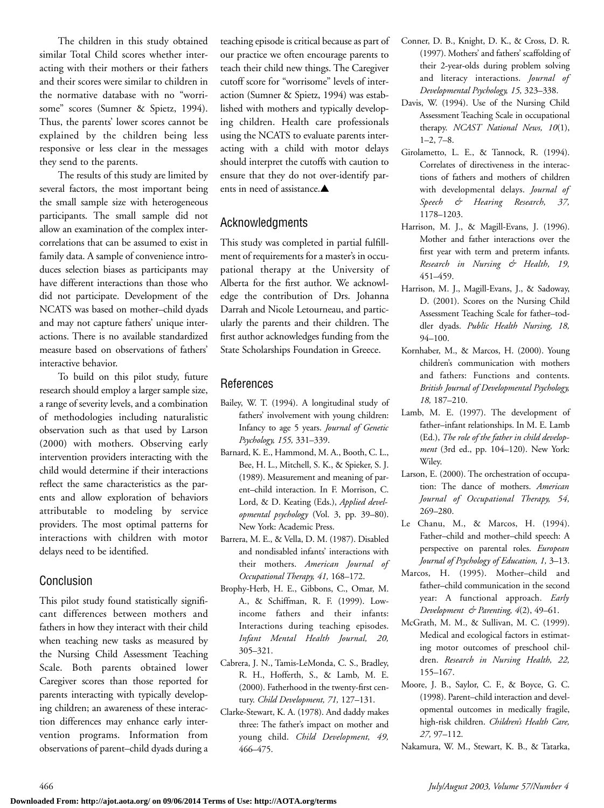The children in this study obtained similar Total Child scores whether interacting with their mothers or their fathers and their scores were similar to children in the normative database with no "worrisome" scores (Sumner & Spietz, 1994). Thus, the parents' lower scores cannot be explained by the children being less responsive or less clear in the messages they send to the parents.

The results of this study are limited by several factors, the most important being the small sample size with heterogeneous participants. The small sample did not allow an examination of the complex intercorrelations that can be assumed to exist in family data. A sample of convenience introduces selection biases as participants may have different interactions than those who did not participate. Development of the NCATS was based on mother–child dyads and may not capture fathers' unique interactions. There is no available standardized measure based on observations of fathers' interactive behavior.

To build on this pilot study, future research should employ a larger sample size, a range of severity levels, and a combination of methodologies including naturalistic observation such as that used by Larson (2000) with mothers. Observing early intervention providers interacting with the child would determine if their interactions reflect the same characteristics as the parents and allow exploration of behaviors attributable to modeling by service providers. The most optimal patterns for interactions with children with motor delays need to be identified.

#### Conclusion

This pilot study found statistically significant differences between mothers and fathers in how they interact with their child when teaching new tasks as measured by the Nursing Child Assessment Teaching Scale. Both parents obtained lower Caregiver scores than those reported for parents interacting with typically developing children; an awareness of these interaction differences may enhance early intervention programs. Information from observations of parent–child dyads during a

teaching episode is critical because as part of our practice we often encourage parents to teach their child new things. The Caregiver cutoff score for "worrisome" levels of interaction (Sumner & Spietz, 1994) was established with mothers and typically developing children. Health care professionals using the NCATS to evaluate parents interacting with a child with motor delays should interpret the cutoffs with caution to ensure that they do not over-identify parents in need of assistance.**▲**

#### Acknowledgments

This study was completed in partial fulfillment of requirements for a master's in occupational therapy at the University of Alberta for the first author. We acknowledge the contribution of Drs. Johanna Darrah and Nicole Letourneau, and particularly the parents and their children. The first author acknowledges funding from the State Scholarships Foundation in Greece.

#### References

- Bailey, W. T. (1994). A longitudinal study of fathers' involvement with young children: Infancy to age 5 years. *Journal of Genetic Psychology, 155,* 331–339.
- Barnard, K. E., Hammond, M. A., Booth, C. L., Bee, H. L., Mitchell, S. K., & Spieker, S. J. (1989). Measurement and meaning of parent–child interaction. In F. Morrison, C. Lord, & D. Keating (Eds.), *Applied developmental psychology* (Vol. 3, pp. 39–80). New York: Academic Press.
- Barrera, M. E., & Vella, D. M. (1987). Disabled and nondisabled infants' interactions with their mothers. *American Journal of Occupational Therapy, 41,* 168–172.
- Brophy-Herb, H. E., Gibbons, C., Omar, M. A., & Schiffman, R. F. (1999). Lowincome fathers and their infants: Interactions during teaching episodes. *Infant Mental Health Journal, 20,* 305–321.
- Cabrera, J. N., Tamis-LeMonda, C. S., Bradley, R. H., Hofferth, S., & Lamb, M. E. (2000). Fatherhood in the twenty-first century. *Child Development, 71,* 127–131.
- Clarke-Stewart, K. A. (1978). And daddy makes three: The father's impact on mother and young child. *Child Development, 49,* 466–475.
- Conner, D. B., Knight, D. K., & Cross, D. R. (1997). Mothers' and fathers' scaffolding of their 2-year-olds during problem solving and literacy interactions. *Journal of Developmental Psychology, 15,* 323–338.
- Davis, W. (1994). Use of the Nursing Child Assessment Teaching Scale in occupational therapy. *NCAST National News, 10*(1), 1–2, 7–8.
- Girolametto, L. E., & Tannock, R. (1994). Correlates of directiveness in the interactions of fathers and mothers of children with developmental delays. *Journal of Speech & Hearing Research, 37,* 1178–1203.
- Harrison, M. J., & Magill-Evans, J. (1996). Mother and father interactions over the first year with term and preterm infants. *Research in Nursing & Health, 19,* 451–459.
- Harrison, M. J., Magill-Evans, J., & Sadoway, D. (2001). Scores on the Nursing Child Assessment Teaching Scale for father–toddler dyads. *Public Health Nursing, 18,* 94–100.
- Kornhaber, M., & Marcos, H. (2000). Young children's communication with mothers and fathers: Functions and contents. *British Journal of Developmental Psychology, 18,* 187–210.
- Lamb, M. E. (1997). The development of father–infant relationships. In M. E. Lamb (Ed.), *The role of the father in child development* (3rd ed., pp. 104–120). New York: Wiley.
- Larson, E. (2000). The orchestration of occupation: The dance of mothers. *American Journal of Occupational Therapy, 54,* 269–280.
- Le Chanu, M., & Marcos, H. (1994). Father–child and mother–child speech: A perspective on parental roles. *European Journal of Psychology of Education, 1,* 3–13.
- Marcos, H. (1995). Mother–child and father–child communication in the second year: A functional approach. *Early Development & Parenting, 4*(2), 49–61.
- McGrath, M. M., & Sullivan, M. C. (1999). Medical and ecological factors in estimating motor outcomes of preschool children. *Research in Nursing Health, 22,* 155–167.
- Moore, J. B., Saylor, C. F., & Boyce, G. C. (1998). Parent–child interaction and developmental outcomes in medically fragile, high-risk children. *Children's Health Care, 27,* 97–112.
- Nakamura, W. M., Stewart, K. B., & Tatarka,